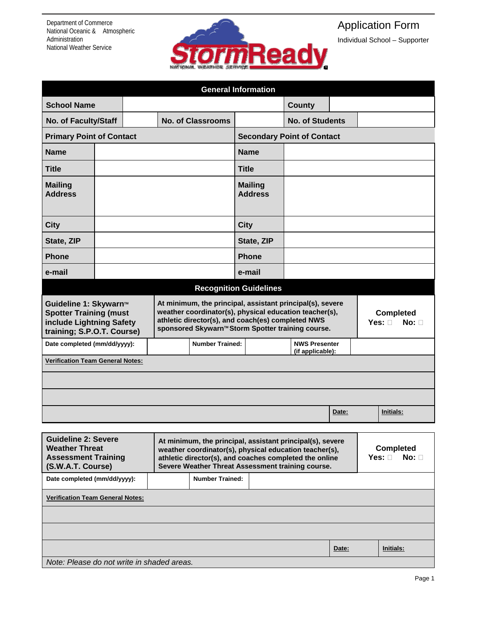Department of Commerce National Oceanic & Atmospheric Administration National Weather Service



## Application Form

Individual School – Supporter

| <b>General Information</b>                                                                                                   |  |                                                                                                                                                                                                                                    |  |                                   |              |                        |                                                     |                                                  |  |           |  |
|------------------------------------------------------------------------------------------------------------------------------|--|------------------------------------------------------------------------------------------------------------------------------------------------------------------------------------------------------------------------------------|--|-----------------------------------|--------------|------------------------|-----------------------------------------------------|--------------------------------------------------|--|-----------|--|
| <b>School Name</b>                                                                                                           |  |                                                                                                                                                                                                                                    |  |                                   |              |                        | <b>County</b>                                       |                                                  |  |           |  |
| <b>No. of Faculty/Staff</b>                                                                                                  |  | <b>No. of Classrooms</b>                                                                                                                                                                                                           |  |                                   |              | <b>No. of Students</b> |                                                     |                                                  |  |           |  |
| <b>Primary Point of Contact</b>                                                                                              |  |                                                                                                                                                                                                                                    |  | <b>Secondary Point of Contact</b> |              |                        |                                                     |                                                  |  |           |  |
| <b>Name</b>                                                                                                                  |  |                                                                                                                                                                                                                                    |  | <b>Name</b>                       |              |                        |                                                     |                                                  |  |           |  |
| <b>Title</b>                                                                                                                 |  |                                                                                                                                                                                                                                    |  | <b>Title</b>                      |              |                        |                                                     |                                                  |  |           |  |
| <b>Mailing</b><br><b>Address</b>                                                                                             |  |                                                                                                                                                                                                                                    |  | <b>Mailing</b><br><b>Address</b>  |              |                        |                                                     |                                                  |  |           |  |
| <b>City</b>                                                                                                                  |  |                                                                                                                                                                                                                                    |  |                                   | <b>City</b>  |                        |                                                     |                                                  |  |           |  |
| State, ZIP                                                                                                                   |  |                                                                                                                                                                                                                                    |  |                                   |              | State, ZIP             |                                                     |                                                  |  |           |  |
| <b>Phone</b>                                                                                                                 |  |                                                                                                                                                                                                                                    |  |                                   | <b>Phone</b> |                        |                                                     |                                                  |  |           |  |
| e-mail                                                                                                                       |  |                                                                                                                                                                                                                                    |  | e-mail                            |              |                        |                                                     |                                                  |  |           |  |
| <b>Recognition Guidelines</b>                                                                                                |  |                                                                                                                                                                                                                                    |  |                                   |              |                        |                                                     |                                                  |  |           |  |
| Guideline 1: Skywarn <sup>™</sup><br><b>Spotter Training (must</b><br>include Lightning Safety<br>training; S.P.O.T. Course) |  | At minimum, the principal, assistant principal(s), severe<br>weather coordinator(s), physical education teacher(s),<br>athletic director(s), and coach(es) completed NWS<br>sponsored Skywarn™ Storm Spotter training course.      |  |                                   |              |                        | <b>Completed</b><br>Yes: $\square$<br>No: $\square$ |                                                  |  |           |  |
| Date completed (mm/dd/yyyy):                                                                                                 |  |                                                                                                                                                                                                                                    |  | <b>Number Trained:</b>            |              |                        | <b>NWS Presenter</b><br>(if applicable):            |                                                  |  |           |  |
| <b>Verification Team General Notes:</b>                                                                                      |  |                                                                                                                                                                                                                                    |  |                                   |              |                        |                                                     |                                                  |  |           |  |
|                                                                                                                              |  |                                                                                                                                                                                                                                    |  |                                   |              |                        |                                                     |                                                  |  |           |  |
|                                                                                                                              |  |                                                                                                                                                                                                                                    |  |                                   |              |                        |                                                     |                                                  |  |           |  |
|                                                                                                                              |  |                                                                                                                                                                                                                                    |  |                                   |              |                        |                                                     | Date:                                            |  | Initials: |  |
| <b>Guideline 2: Severe</b><br><b>Weather Threat</b><br><b>Assessment Training</b><br>(S.W.A.T. Course)                       |  | At minimum, the principal, assistant principal(s), severe<br>weather coordinator(s), physical education teacher(s),<br>athletic director(s), and coaches completed the online<br>Severe Weather Threat Assessment training course. |  |                                   |              |                        |                                                     | <b>Completed</b><br>Yes: $\square$<br>No: $\Box$ |  |           |  |
| Date completed (mm/dd/yyyy):                                                                                                 |  | <b>Number Trained:</b>                                                                                                                                                                                                             |  |                                   |              |                        |                                                     |                                                  |  |           |  |
| <b>Verification Team General Notes:</b>                                                                                      |  |                                                                                                                                                                                                                                    |  |                                   |              |                        |                                                     |                                                  |  |           |  |
|                                                                                                                              |  |                                                                                                                                                                                                                                    |  |                                   |              |                        |                                                     |                                                  |  |           |  |
|                                                                                                                              |  |                                                                                                                                                                                                                                    |  |                                   |              |                        |                                                     |                                                  |  |           |  |
|                                                                                                                              |  |                                                                                                                                                                                                                                    |  |                                   |              |                        |                                                     | Date:                                            |  | Initials: |  |
| Note: Please do not write in shaded areas.                                                                                   |  |                                                                                                                                                                                                                                    |  |                                   |              |                        |                                                     |                                                  |  |           |  |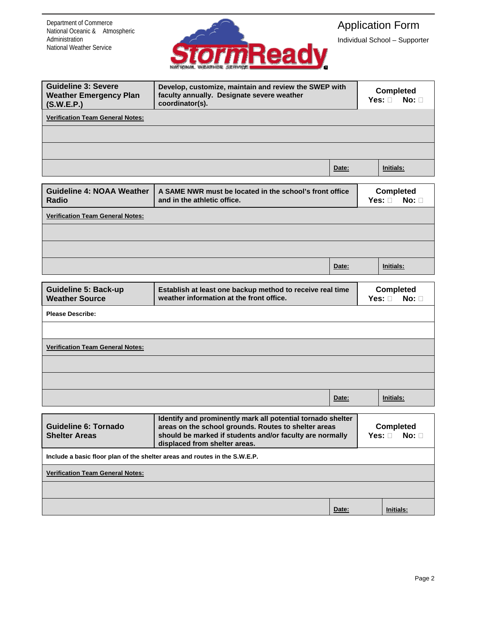Department of Commerce National Oceanic & Atmospheric Administration National Weather Service



## Application Form

Individual School – Supporter

| <b>Guideline 3: Severe</b><br><b>Weather Emergency Plan</b><br>(S.W.E.P.)  | Develop, customize, maintain and review the SWEP with<br>faculty annually. Designate severe weather<br>coordinator(s).                                                          | <b>Completed</b><br>No: $\square$<br>Yes: $\square$ |                                                  |                                                  |  |  |
|----------------------------------------------------------------------------|---------------------------------------------------------------------------------------------------------------------------------------------------------------------------------|-----------------------------------------------------|--------------------------------------------------|--------------------------------------------------|--|--|
| <b>Verification Team General Notes:</b>                                    |                                                                                                                                                                                 |                                                     |                                                  |                                                  |  |  |
|                                                                            |                                                                                                                                                                                 |                                                     |                                                  |                                                  |  |  |
|                                                                            |                                                                                                                                                                                 |                                                     |                                                  |                                                  |  |  |
|                                                                            |                                                                                                                                                                                 | Date:                                               |                                                  | Initials:                                        |  |  |
| <b>Guideline 4: NOAA Weather</b><br>Radio                                  | A SAME NWR must be located in the school's front office<br>and in the athletic office.                                                                                          |                                                     |                                                  | <b>Completed</b><br>Yes: $\square$<br>$No: \Box$ |  |  |
| <b>Verification Team General Notes:</b>                                    |                                                                                                                                                                                 |                                                     |                                                  |                                                  |  |  |
|                                                                            |                                                                                                                                                                                 |                                                     |                                                  |                                                  |  |  |
|                                                                            |                                                                                                                                                                                 |                                                     |                                                  |                                                  |  |  |
|                                                                            |                                                                                                                                                                                 | Date:                                               |                                                  | Initials:                                        |  |  |
|                                                                            |                                                                                                                                                                                 |                                                     |                                                  |                                                  |  |  |
| <b>Guideline 5: Back-up</b><br><b>Weather Source</b>                       | Establish at least one backup method to receive real time<br>weather information at the front office.                                                                           |                                                     | <b>Completed</b><br>Yes: $\square$<br>$No: \Box$ |                                                  |  |  |
| <b>Please Describe:</b>                                                    |                                                                                                                                                                                 |                                                     |                                                  |                                                  |  |  |
|                                                                            |                                                                                                                                                                                 |                                                     |                                                  |                                                  |  |  |
| <b>Verification Team General Notes:</b>                                    |                                                                                                                                                                                 |                                                     |                                                  |                                                  |  |  |
|                                                                            |                                                                                                                                                                                 |                                                     |                                                  |                                                  |  |  |
|                                                                            |                                                                                                                                                                                 |                                                     |                                                  |                                                  |  |  |
|                                                                            |                                                                                                                                                                                 | Date:                                               |                                                  | Initials:                                        |  |  |
| <b>Guideline 6: Tornado</b><br><b>Shelter Areas</b>                        | Identify and prominently mark all potential tornado shelter<br>areas on the school grounds. Routes to shelter areas<br>should be marked if students and/or faculty are normally | <b>Completed</b><br>$No: \Box$<br>Yes: $\square$    |                                                  |                                                  |  |  |
| Include a basic floor plan of the shelter areas and routes in the S.W.E.P. |                                                                                                                                                                                 |                                                     |                                                  |                                                  |  |  |
| <b>Verification Team General Notes:</b>                                    |                                                                                                                                                                                 |                                                     |                                                  |                                                  |  |  |
|                                                                            |                                                                                                                                                                                 |                                                     |                                                  |                                                  |  |  |
|                                                                            |                                                                                                                                                                                 | Date:                                               |                                                  | Initials:                                        |  |  |